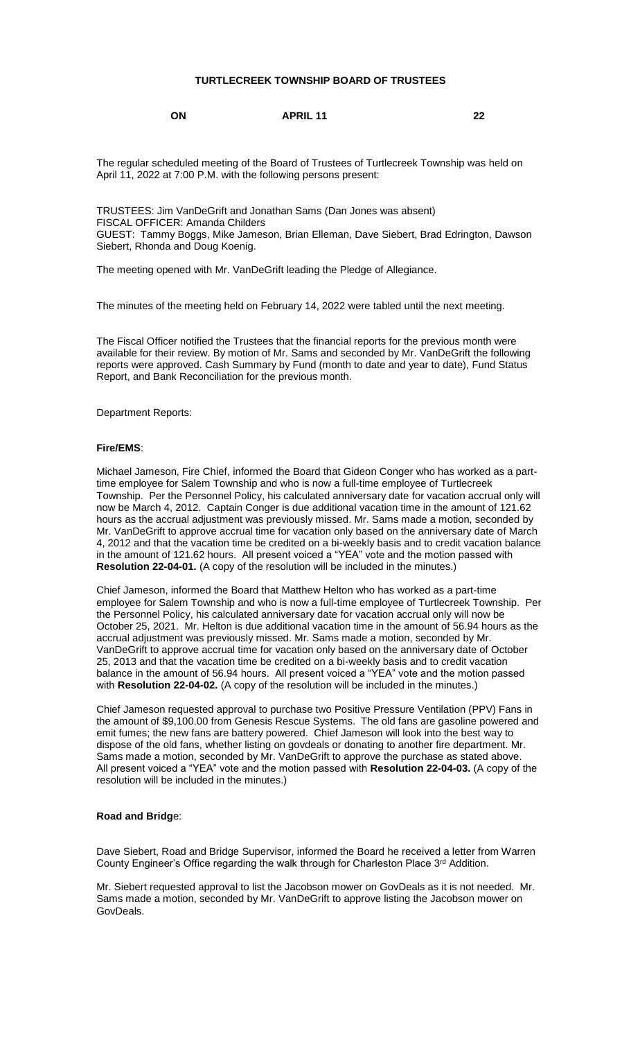#### **TURTLECREEK TOWNSHIP BOARD OF TRUSTEES**

**ON APRIL 11 22**

The regular scheduled meeting of the Board of Trustees of Turtlecreek Township was held on April 11, 2022 at 7:00 P.M. with the following persons present:

TRUSTEES: Jim VanDeGrift and Jonathan Sams (Dan Jones was absent) FISCAL OFFICER: Amanda Childers GUEST: Tammy Boggs, Mike Jameson, Brian Elleman, Dave Siebert, Brad Edrington, Dawson Siebert, Rhonda and Doug Koenig.

The meeting opened with Mr. VanDeGrift leading the Pledge of Allegiance.

The minutes of the meeting held on February 14, 2022 were tabled until the next meeting.

The Fiscal Officer notified the Trustees that the financial reports for the previous month were available for their review. By motion of Mr. Sams and seconded by Mr. VanDeGrift the following reports were approved. Cash Summary by Fund (month to date and year to date), Fund Status Report, and Bank Reconciliation for the previous month.

Department Reports:

#### **Fire/EMS**:

Michael Jameson, Fire Chief, informed the Board that Gideon Conger who has worked as a parttime employee for Salem Township and who is now a full-time employee of Turtlecreek Township. Per the Personnel Policy, his calculated anniversary date for vacation accrual only will now be March 4, 2012. Captain Conger is due additional vacation time in the amount of 121.62 hours as the accrual adjustment was previously missed. Mr. Sams made a motion, seconded by Mr. VanDeGrift to approve accrual time for vacation only based on the anniversary date of March 4, 2012 and that the vacation time be credited on a bi-weekly basis and to credit vacation balance in the amount of 121.62 hours. All present voiced a "YEA" vote and the motion passed with **Resolution 22-04-01.** (A copy of the resolution will be included in the minutes.)

Chief Jameson, informed the Board that Matthew Helton who has worked as a part-time employee for Salem Township and who is now a full-time employee of Turtlecreek Township. Per the Personnel Policy, his calculated anniversary date for vacation accrual only will now be October 25, 2021. Mr. Helton is due additional vacation time in the amount of 56.94 hours as the accrual adjustment was previously missed. Mr. Sams made a motion, seconded by Mr. VanDeGrift to approve accrual time for vacation only based on the anniversary date of October 25, 2013 and that the vacation time be credited on a bi-weekly basis and to credit vacation balance in the amount of 56.94 hours. All present voiced a "YEA" vote and the motion passed with **Resolution 22-04-02.** (A copy of the resolution will be included in the minutes.)

Chief Jameson requested approval to purchase two Positive Pressure Ventilation (PPV) Fans in the amount of \$9,100.00 from Genesis Rescue Systems. The old fans are gasoline powered and emit fumes; the new fans are battery powered. Chief Jameson will look into the best way to dispose of the old fans, whether listing on govdeals or donating to another fire department. Mr. Sams made a motion, seconded by Mr. VanDeGrift to approve the purchase as stated above. All present voiced a "YEA" vote and the motion passed with **Resolution 22-04-03.** (A copy of the resolution will be included in the minutes.)

#### **Road and Bridg**e:

Dave Siebert, Road and Bridge Supervisor, informed the Board he received a letter from Warren County Engineer's Office regarding the walk through for Charleston Place 3<sup>rd</sup> Addition.

Mr. Siebert requested approval to list the Jacobson mower on GovDeals as it is not needed. Mr. Sams made a motion, seconded by Mr. VanDeGrift to approve listing the Jacobson mower on GovDeals.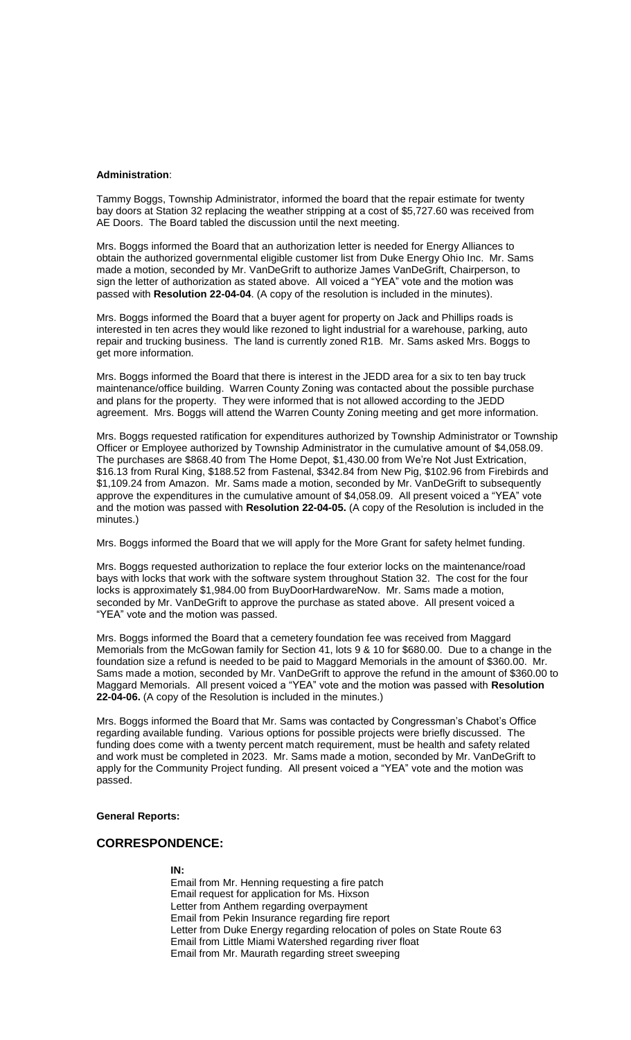#### **Administration**:

Tammy Boggs, Township Administrator, informed the board that the repair estimate for twenty bay doors at Station 32 replacing the weather stripping at a cost of \$5,727.60 was received from AE Doors. The Board tabled the discussion until the next meeting.

Mrs. Boggs informed the Board that an authorization letter is needed for Energy Alliances to obtain the authorized governmental eligible customer list from Duke Energy Ohio Inc. Mr. Sams made a motion, seconded by Mr. VanDeGrift to authorize James VanDeGrift, Chairperson, to sign the letter of authorization as stated above. All voiced a "YEA" vote and the motion was passed with **Resolution 22-04-04**. (A copy of the resolution is included in the minutes).

Mrs. Boggs informed the Board that a buyer agent for property on Jack and Phillips roads is interested in ten acres they would like rezoned to light industrial for a warehouse, parking, auto repair and trucking business. The land is currently zoned R1B. Mr. Sams asked Mrs. Boggs to get more information.

Mrs. Boggs informed the Board that there is interest in the JEDD area for a six to ten bay truck maintenance/office building. Warren County Zoning was contacted about the possible purchase and plans for the property. They were informed that is not allowed according to the JEDD agreement. Mrs. Boggs will attend the Warren County Zoning meeting and get more information.

Mrs. Boggs requested ratification for expenditures authorized by Township Administrator or Township Officer or Employee authorized by Township Administrator in the cumulative amount of \$4,058.09. The purchases are \$868.40 from The Home Depot, \$1,430.00 from We're Not Just Extrication, \$16.13 from Rural King, \$188.52 from Fastenal, \$342.84 from New Pig, \$102.96 from Firebirds and \$1,109.24 from Amazon. Mr. Sams made a motion, seconded by Mr. VanDeGrift to subsequently approve the expenditures in the cumulative amount of \$4,058.09. All present voiced a "YEA" vote and the motion was passed with **Resolution 22-04-05.** (A copy of the Resolution is included in the minutes.)

Mrs. Boggs informed the Board that we will apply for the More Grant for safety helmet funding.

Mrs. Boggs requested authorization to replace the four exterior locks on the maintenance/road bays with locks that work with the software system throughout Station 32. The cost for the four locks is approximately \$1,984.00 from BuyDoorHardwareNow. Mr. Sams made a motion, seconded by Mr. VanDeGrift to approve the purchase as stated above. All present voiced a "YEA" vote and the motion was passed.

Mrs. Boggs informed the Board that a cemetery foundation fee was received from Maggard Memorials from the McGowan family for Section 41, lots 9 & 10 for \$680.00. Due to a change in the foundation size a refund is needed to be paid to Maggard Memorials in the amount of \$360.00. Mr. Sams made a motion, seconded by Mr. VanDeGrift to approve the refund in the amount of \$360.00 to Maggard Memorials. All present voiced a "YEA" vote and the motion was passed with **Resolution 22-04-06.** (A copy of the Resolution is included in the minutes.)

Mrs. Boggs informed the Board that Mr. Sams was contacted by Congressman's Chabot's Office regarding available funding. Various options for possible projects were briefly discussed. The funding does come with a twenty percent match requirement, must be health and safety related and work must be completed in 2023. Mr. Sams made a motion, seconded by Mr. VanDeGrift to apply for the Community Project funding. All present voiced a "YEA" vote and the motion was passed.

#### **General Reports:**

### **CORRESPONDENCE:**

#### **IN:**

Email from Mr. Henning requesting a fire patch Email request for application for Ms. Hixson Letter from Anthem regarding overpayment Email from Pekin Insurance regarding fire report Letter from Duke Energy regarding relocation of poles on State Route 63 Email from Little Miami Watershed regarding river float Email from Mr. Maurath regarding street sweeping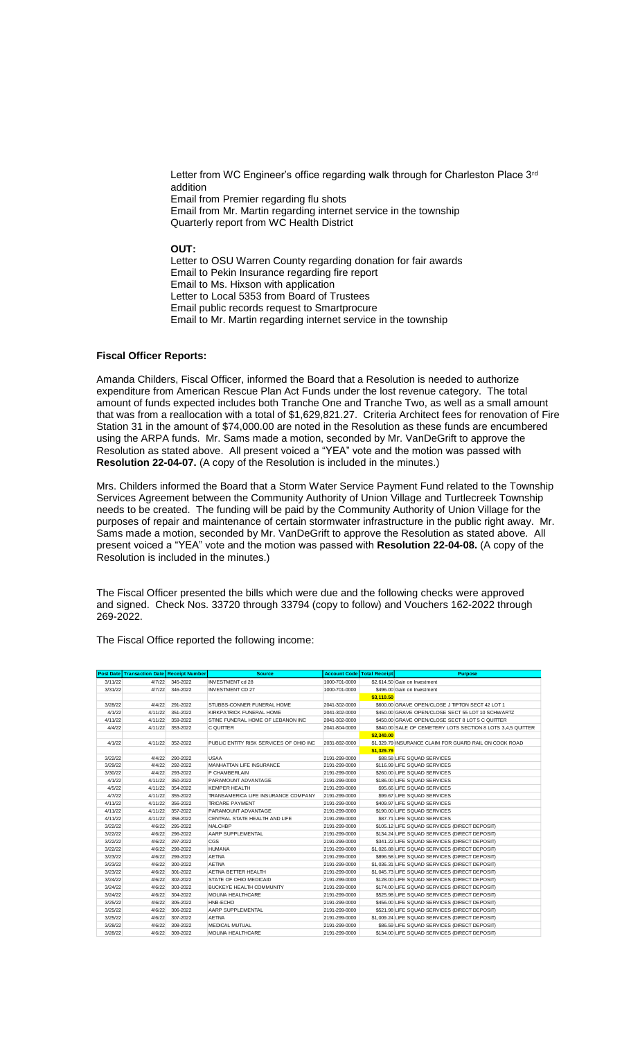Letter from WC Engineer's office regarding walk through for Charleston Place 3<sup>rd</sup> addition Email from Premier regarding flu shots Email from Mr. Martin regarding internet service in the township Quarterly report from WC Health District

**OUT:**

Letter to OSU Warren County regarding donation for fair awards Email to Pekin Insurance regarding fire report Email to Ms. Hixson with application Letter to Local 5353 from Board of Trustees Email public records request to Smartprocure Email to Mr. Martin regarding internet service in the township

#### **Fiscal Officer Reports:**

Amanda Childers, Fiscal Officer, informed the Board that a Resolution is needed to authorize expenditure from American Rescue Plan Act Funds under the lost revenue category. The total amount of funds expected includes both Tranche One and Tranche Two, as well as a small amount that was from a reallocation with a total of \$1,629,821.27. Criteria Architect fees for renovation of Fire Station 31 in the amount of \$74,000.00 are noted in the Resolution as these funds are encumbered using the ARPA funds. Mr. Sams made a motion, seconded by Mr. VanDeGrift to approve the Resolution as stated above. All present voiced a "YEA" vote and the motion was passed with **Resolution 22-04-07.** (A copy of the Resolution is included in the minutes.)

Mrs. Childers informed the Board that a Storm Water Service Payment Fund related to the Township Services Agreement between the Community Authority of Union Village and Turtlecreek Township needs to be created. The funding will be paid by the Community Authority of Union Village for the purposes of repair and maintenance of certain stormwater infrastructure in the public right away. Mr. Sams made a motion, seconded by Mr. VanDeGrift to approve the Resolution as stated above. All present voiced a "YEA" vote and the motion was passed with **Resolution 22-04-08.** (A copy of the Resolution is included in the minutes.)

The Fiscal Officer presented the bills which were due and the following checks were approved and signed. Check Nos. 33720 through 33794 (copy to follow) and Vouchers 162-2022 through 269-2022.

|         | <b>Post Date Transaction Date Receipt Number</b> |          | <b>Source</b>                           |               | <b>Account Code Total Receipt</b> | <b>Purpose</b>                                              |
|---------|--------------------------------------------------|----------|-----------------------------------------|---------------|-----------------------------------|-------------------------------------------------------------|
| 3/11/22 | 4/7/22                                           | 345-2022 | <b>INVESTMENT cd 28</b>                 | 1000-701-0000 |                                   | \$2,614.50 Gain on Investment                               |
| 3/31/22 | 4/7/22                                           | 346-2022 | <b>INVESTMENT CD 27</b>                 | 1000-701-0000 |                                   | \$496.00 Gain on Investment                                 |
|         |                                                  |          |                                         |               | \$3.110.50                        |                                                             |
| 3/28/22 | 4/4/22                                           | 291-2022 | STUBBS-CONNER FUNERAL HOME              | 2041-302-0000 |                                   | \$600.00 GRAVE OPEN/CLOSE J TIPTON SECT 42 LOT 1            |
| 4/1/22  | 4/11/22                                          | 351-2022 | KIRKPATRICK FUNERAL HOME                | 2041-302-0000 |                                   | \$450.00 GRAVE OPEN/CLOSE SECT 55 LOT 10 SCHWARTZ           |
| 4/11/22 | 4/11/22                                          | 359-2022 | STINE FUNERAL HOME OF LEBANON INC       | 2041-302-0000 |                                   | \$450.00 GRAVE OPEN/CLOSE SECT 8 LOT 5 C QUITTER            |
| 4/4/22  | 4/11/22                                          | 353-2022 | C QUITTER                               | 2041-804-0000 |                                   | \$840.00 SALE OF CEMETERY LOTS SECTION 8 LOTS 3.4.5 QUITTER |
|         |                                                  |          |                                         |               | \$2,340.00                        |                                                             |
| 4/1/22  | 4/11/22                                          | 352-2022 | PUBLIC ENTITY RISK SERVICES OF OHIO INC | 2031-892-0000 |                                   | \$1.329.79 INSURANCE CLAIM FOR GUARD RAIL ON COOK ROAD      |
|         |                                                  |          |                                         |               | \$1,329.79                        |                                                             |
| 3/22/22 | 4/4/22                                           | 290-2022 | <b>USAA</b>                             | 2191-299-0000 |                                   | \$88.58 LIFE SQUAD SERVICES                                 |
| 3/29/22 | 4/4/22                                           | 292-2022 | MANHATTAN LIFE INSURANCE                | 2191-299-0000 |                                   | \$116.99 LIFE SQUAD SERVICES                                |
| 3/30/22 | 4/4/22                                           | 293-2022 | P CHAMBERLAIN                           | 2191-299-0000 |                                   | \$260.00 LIFE SQUAD SERVICES                                |
| 4/1/22  | 4/11/22                                          | 350-2022 | PARAMOUNT ADVANTAGE                     | 2191-299-0000 |                                   | \$186.00 LIFE SQUAD SERVICES                                |
| 4/5/22  | 4/11/22                                          | 354-2022 | KEMPER HEALTH                           | 2191-299-0000 |                                   | \$95.66 LIFE SQUAD SERVICES                                 |
| 4/7/22  | 4/11/22                                          | 355-2022 | TRANSAMERICA LIFE INSURANCE COMPANY     | 2191-299-0000 |                                   | \$99.67 LIFE SQUAD SERVICES                                 |
| 4/11/22 | 4/11/22                                          | 356-2022 | <b>TRICARE PAYMENT</b>                  | 2191-299-0000 |                                   | \$409.97 LIFE SQUAD SERVICES                                |
| 4/11/22 | 4/11/22                                          | 357-2022 | PARAMOUNT ADVANTAGE                     | 2191-299-0000 |                                   | \$190.00 LIFE SQUAD SERVICES                                |
| 4/11/22 | 4/11/22                                          | 358-2022 | CENTRAL STATE HEALTH AND LIFE           | 2191-299-0000 |                                   | \$87.71 LIFE SQUAD SERVICES                                 |
| 3/22/22 | 4/6/22                                           | 295-2022 | <b>NALCHBP</b>                          | 2191-299-0000 |                                   | \$105,12 LIFE SQUAD SERVICES (DIRECT DEPOSIT)               |
| 3/22/22 | 4/6/22                                           | 296-2022 | AARP SUPPLEMENTAL                       | 2191-299-0000 |                                   | \$134.24 LIFE SQUAD SERVICES (DIRECT DEPOSIT)               |
| 3/22/22 | 4/6/22                                           | 297-2022 | CGS                                     | 2191-299-0000 |                                   | \$341.22 LIFE SQUAD SERVICES (DIRECT DEPOSIT)               |
| 3/22/22 | 4/6/22                                           | 298-2022 | <b>HUMANA</b>                           | 2191-299-0000 |                                   | \$1,026.88 LIFE SQUAD SERVICES (DIRECT DEPOSIT)             |
| 3/23/22 | 4/6/22                                           | 299-2022 | <b>AETNA</b>                            | 2191-299-0000 |                                   | \$896.58 LIFE SQUAD SERVICES (DIRECT DEPOSIT)               |
| 3/23/22 | 4/6/22                                           | 300-2022 | <b>AETNA</b>                            | 2191-299-0000 |                                   | \$1.036.31 LIFE SQUAD SERVICES (DIRECT DEPOSIT)             |
| 3/23/22 | 4/6/22                                           | 301-2022 | AETNA BETTER HEALTH                     | 2191-299-0000 |                                   | \$1,045.73 LIFE SQUAD SERVICES (DIRECT DEPOSIT)             |
| 3/24/22 | 4/6/22                                           | 302-2022 | STATE OF OHIO MEDICAID                  | 2191-299-0000 |                                   | \$128.00 LIFE SQUAD SERVICES (DIRECT DEPOSIT)               |
| 3/24/22 | 4/6/22                                           | 303-2022 | BUCKEYE HEALTH COMMUNITY                | 2191-299-0000 |                                   | \$174.00 LIFE SQUAD SERVICES (DIRECT DEPOSIT)               |
| 3/24/22 | 4/6/22                                           | 304-2022 | <b>MOLINA HEALTHCARE</b>                | 2191-299-0000 |                                   | \$525.98 LIFE SQUAD SERVICES (DIRECT DEPOSIT)               |
| 3/25/22 | 4/6/22                                           | 305-2022 | HNB-ECHO                                | 2191-299-0000 |                                   | \$456.00 LIFE SQUAD SERVICES (DIRECT DEPOSIT)               |
| 3/25/22 | 4/6/22                                           | 306-2022 | AARP SUPPLEMENTAL                       | 2191-299-0000 |                                   | \$521.98 LIFE SQUAD SERVICES (DIRECT DEPOSIT)               |
| 3/25/22 | 4/6/22                                           | 307-2022 | <b>AETNA</b>                            | 2191-299-0000 |                                   | \$1,009.24 LIFE SQUAD SERVICES (DIRECT DEPOSIT)             |
| 3/28/22 | 4/6/22                                           | 308-2022 | <b>MEDICAL MUTUAL</b>                   | 2191-299-0000 |                                   | \$86.59 LIFE SQUAD SERVICES (DIRECT DEPOSIT)                |
| 3/28/22 | 4/6/22                                           | 309-2022 | <b>MOLINA HEALTHCARE</b>                | 2191-299-0000 |                                   | \$134.00 LIFE SQUAD SERVICES (DIRECT DEPOSIT)               |

The Fiscal Office reported the following income: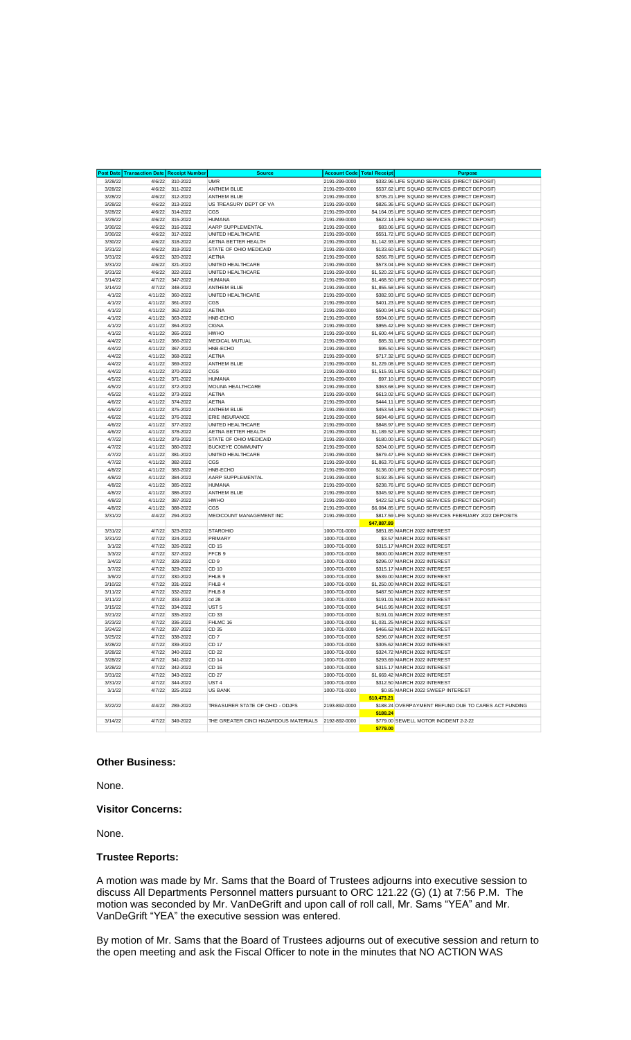|                    | <b>Post Date Transaction Date Receipt Number</b> |                      | <b>Source</b>                          | <b>Account Code</b>            | <b>Total Receipt</b> | <b>Purpose</b>                                                                                   |
|--------------------|--------------------------------------------------|----------------------|----------------------------------------|--------------------------------|----------------------|--------------------------------------------------------------------------------------------------|
| 3/28/22            | 4/6/22                                           | 310-2022             | <b>UMR</b>                             | 2191-299-0000                  |                      | \$332.96 LIFE SQUAD SERVICES (DIRECT DEPOSIT)                                                    |
| 3/28/22            | 4/6/22                                           | 311-2022             | ANTHEM BLUE                            | 2191-299-0000                  |                      | \$537.62 LIFE SQUAD SERVICES (DIRECT DEPOSIT)                                                    |
| 3/28/22            | 4/6/22                                           | 312-2022             | <b>ANTHEM BLUE</b>                     | 2191-299-0000                  |                      | \$705.21 LIFE SQUAD SERVICES (DIRECT DEPOSIT)                                                    |
| 3/28/22            | 4/6/22                                           | 313-2022             | US TREASURY DEPT OF VA                 | 2191-299-0000                  |                      | \$826.36 LIFE SQUAD SERVICES (DIRECT DEPOSIT)                                                    |
| 3/28/22            | 4/6/22                                           | 314-2022             | CGS                                    | 2191-299-0000                  |                      | \$4,164.05 LIFE SQUAD SERVICES (DIRECT DEPOSIT)                                                  |
| 3/29/22            | 4/6/22                                           | 315-2022             | <b>HUMANA</b>                          | 2191-299-0000                  |                      | \$622.14 LIFE SQUAD SERVICES (DIRECT DEPOSIT)<br>\$83.06 LIFE SQUAD SERVICES (DIRECT DEPOSIT)    |
| 3/30/22<br>3/30/22 | 4/6/22<br>4/6/22                                 | 316-2022<br>317-2022 | AARP SUPPLEMENTAL<br>UNITED HEALTHCARE | 2191-299-0000<br>2191-299-0000 |                      | \$551.72 LIFE SQUAD SERVICES (DIRECT DEPOSIT)                                                    |
| 3/30/22            | 4/6/22                                           | 318-2022             | AETNA BETTER HEALTH                    | 2191-299-0000                  |                      | \$1,142.93 LIFE SQUAD SERVICES (DIRECT DEPOSIT)                                                  |
| 3/31/22            | 4/6/22                                           | 319-2022             | STATE OF OHIO MEDICAID                 | 2191-299-0000                  |                      | \$133.60 LIFE SQUAD SERVICES (DIRECT DEPOSIT)                                                    |
| 3/31/22            | 4/6/22                                           | 320-2022             | <b>AETNA</b>                           | 2191-299-0000                  |                      | \$266.78 LIFE SQUAD SERVICES (DIRECT DEPOSIT)                                                    |
| 3/31/22            | 4/6/22                                           | 321-2022             | UNITED HEALTHCARE                      | 2191-299-0000                  |                      | \$573.04 LIFE SQUAD SERVICES (DIRECT DEPOSIT)                                                    |
| 3/31/22            | 4/6/22                                           | 322-2022             | UNITED HEALTHCARE                      | 2191-299-0000                  |                      | \$1,520.22 LIFE SQUAD SERVICES (DIRECT DEPOSIT)                                                  |
| 3/14/22            | 4/7/22                                           | 347-2022             | <b>HUMANA</b>                          | 2191-299-0000                  |                      | \$1,468.50 LIFE SQUAD SERVICES (DIRECT DEPOSIT)                                                  |
| 3/14/22            | 4/7/22                                           | 348-2022             | <b>ANTHEM BLUE</b>                     | 2191-299-0000                  |                      | \$1,855.58 LIFE SQUAD SERVICES (DIRECT DEPOSIT)                                                  |
| 4/1/22             | 4/11/22                                          | 360-2022             | UNITED HEALTHCARE                      | 2191-299-0000                  |                      | \$382.93 LIFE SQUAD SERVICES (DIRECT DEPOSIT)                                                    |
| 4/1/22             | 4/11/22                                          | 361-2022             | CGS                                    | 2191-299-0000                  |                      | \$401.23 LIFE SQUAD SERVICES (DIRECT DEPOSIT)                                                    |
| 4/1/22             | 4/11/22                                          | 362-2022             | <b>AETNA</b>                           | 2191-299-0000                  |                      | \$500.94 LIFE SQUAD SERVICES (DIRECT DEPOSIT)                                                    |
| 4/1/22             | 4/11/22                                          | 363-2022             | HNB-ECHO                               | 2191-299-0000                  |                      | \$594.00 LIFE SQUAD SERVICES (DIRECT DEPOSIT)                                                    |
| 4/1/22             | 4/11/22                                          | 364-2022             | <b>CIGNA</b>                           | 2191-299-0000                  |                      | \$955.42 LIFE SQUAD SERVICES (DIRECT DEPOSIT)                                                    |
| 4/1/22             | 4/11/22                                          | 365-2022             | <b>HWHO</b>                            | 2191-299-0000                  |                      | \$1,600.44 LIFE SQUAD SERVICES (DIRECT DEPOSIT)                                                  |
| 4/4/22             | 4/11/22                                          | 366-2022             | MEDICAL MUTUAL                         | 2191-299-0000                  |                      | \$85.31 LIFE SQUAD SERVICES (DIRECT DEPOSIT)                                                     |
| 4/4/22<br>4/4/22   | 4/11/22<br>4/11/22                               | 367-2022<br>368-2022 | HNB-ECHO<br>AETNA                      | 2191-299-0000<br>2191-299-0000 |                      | \$95.50 LIFE SQUAD SERVICES (DIRECT DEPOSIT)<br>\$717.32 LIFE SQUAD SERVICES (DIRECT DEPOSIT)    |
| 4/4/22             | 4/11/22                                          | 369-2022             | <b>ANTHEM BLUE</b>                     | 2191-299-0000                  |                      | \$1,229.08 LIFE SQUAD SERVICES (DIRECT DEPOSIT)                                                  |
| 4/4/22             | 4/11/22                                          | 370-2022             | CGS                                    | 2191-299-0000                  |                      | \$1,515.91 LIFE SQUAD SERVICES (DIRECT DEPOSIT)                                                  |
| 4/5/22             | 4/11/22                                          | 371-2022             | <b>HUMANA</b>                          | 2191-299-0000                  |                      | \$97.10 LIFE SQUAD SERVICES (DIRECT DEPOSIT)                                                     |
| 4/5/22             | 4/11/22                                          | 372-2022             | MOLINA HEALTHCARE                      | 2191-299-0000                  |                      | \$363.68 LIFE SQUAD SERVICES (DIRECT DEPOSIT)                                                    |
| 4/5/22             | 4/11/22                                          | 373-2022             | <b>AFTNA</b>                           | 2191-299-0000                  |                      | \$613.02 LIFE SQUAD SERVICES (DIRECT DEPOSIT)                                                    |
| 4/6/22             | 4/11/22                                          | 374-2022             | <b>AETNA</b>                           | 2191-299-0000                  |                      | \$444.11 LIFE SQUAD SERVICES (DIRECT DEPOSIT)                                                    |
| 4/6/22             | 4/11/22                                          | 375-2022             | <b>ANTHEM BLUE</b>                     | 2191-299-0000                  |                      | \$453.54 LIFE SQUAD SERVICES (DIRECT DEPOSIT)                                                    |
| 4/6/22             | 4/11/22                                          | 376-2022             | <b>ERIE INSURANCE</b>                  | 2191-299-0000                  |                      | \$694.49 LIFE SQUAD SERVICES (DIRECT DEPOSIT)                                                    |
| 4/6/22             | 4/11/22                                          | 377-2022             | UNITED HEALTHCARE                      | 2191-299-0000                  |                      | \$848.97 LIFE SQUAD SERVICES (DIRECT DEPOSIT)                                                    |
| 4/6/22             | 4/11/22                                          | 378-2022             | AETNA BETTER HEALTH                    | 2191-299-0000                  |                      | \$1,189.52 LIFE SQUAD SERVICES (DIRECT DEPOSIT)                                                  |
| 4/7/22             | 4/11/22                                          | 379-2022             | STATE OF OHIO MEDICAID                 | 2191-299-0000                  |                      | \$180.00 LIFE SQUAD SERVICES (DIRECT DEPOSIT)                                                    |
| 4/7/22             | 4/11/22                                          | 380-2022             | <b>BUCKEYE COMMUNITY</b>               | 2191-299-0000                  |                      | \$204.00 LIFE SQUAD SERVICES (DIRECT DEPOSIT)                                                    |
| 4/7/22             | 4/11/22                                          | 381-2022<br>382-2022 | UNITED HEALTHCARE<br>CGS               | 2191-299-0000                  |                      | \$679.47 LIFE SQUAD SERVICES (DIRECT DEPOSIT)                                                    |
| 4/7/22<br>4/8/22   | 4/11/22<br>4/11/22                               | 383-2022             | HNB-ECHO                               | 2191-299-0000                  |                      | \$1,863.70 LIFE SQUAD SERVICES (DIRECT DEPOSIT)<br>\$136.00 LIFE SQUAD SERVICES (DIRECT DEPOSIT) |
| 4/8/22             | 4/11/22                                          | 384-2022             | AARP SUPPLEMENTAL                      | 2191-299-0000<br>2191-299-0000 |                      | \$192.35 LIFE SQUAD SERVICES (DIRECT DEPOSIT)                                                    |
| 4/8/22             | 4/11/22                                          | 385-2022             | <b>HUMANA</b>                          | 2191-299-0000                  |                      | \$238.76 LIFE SQUAD SERVICES (DIRECT DEPOSIT)                                                    |
| 4/8/22             | 4/11/22                                          | 386-2022             | <b>ANTHEM BLUE</b>                     | 2191-299-0000                  |                      | \$345.92 LIFE SQUAD SERVICES (DIRECT DEPOSIT)                                                    |
| 4/8/22             | 4/11/22                                          | 387-2022             | <b>HWHO</b>                            | 2191-299-0000                  |                      | \$422.52 LIFE SQUAD SERVICES (DIRECT DEPOSIT)                                                    |
| 4/8/22             | 4/11/22                                          | 388-2022             | CGS                                    | 2191-299-0000                  |                      | \$6,084.85 LIFE SQUAD SERVICES (DIRECT DEPOSIT)                                                  |
| 3/31/22            | 4/4/22                                           | 294-2022             | MEDICOUNT MANAGEMENT INC               | 2191-299-0000                  |                      | \$817.59 LIFE SQUAD SERVICES FEBRUARY 2022 DEPOSITS                                              |
|                    |                                                  |                      |                                        |                                | \$47,887.89          |                                                                                                  |
| 3/31/22            | 4/7/22                                           | 323-2022             | <b>STAROHIO</b>                        | 1000-701-0000                  |                      | \$851.85 MARCH 2022 INTEREST                                                                     |
| 3/31/22            | 4/7/22                                           | 324-2022             | PRIMARY                                | 1000-701-0000                  |                      | \$3.57 MARCH 2022 INTEREST                                                                       |
| 3/1/22             | 4/7/22                                           | 326-2022             | CD 15                                  | 1000-701-0000                  |                      | \$315.17 MARCH 2022 INTEREST                                                                     |
| 3/3/22<br>3/4/22   | 4/7/22<br>4/7/22                                 | 327-2022<br>328-2022 | FFCB 9<br>CD <sub>9</sub>              | 1000-701-0000                  |                      | \$600.00 MARCH 2022 INTEREST                                                                     |
| 3/7/22             | 4/7/22                                           | 329-2022             | CD 10                                  | 1000-701-0000<br>1000-701-0000 |                      | \$296.07 MARCH 2022 INTEREST<br>\$315.17 MARCH 2022 INTEREST                                     |
| 3/9/22             | 4/7/22                                           | 330-2022             | FHLB 9                                 | 1000-701-0000                  |                      | \$539.00 MARCH 2022 INTEREST                                                                     |
| 3/10/22            | 4/7/22                                           | 331-2022             | FHLB 4                                 | 1000-701-0000                  |                      | \$1,250.00 MARCH 2022 INTEREST                                                                   |
| 3/11/22            | 4/7/22                                           | 332-2022             | FHLB 8                                 | 1000-701-0000                  |                      | \$487.50 MARCH 2022 INTEREST                                                                     |
| 3/11/22            | 4/7/22                                           | 333-2022             | cd 28                                  | 1000-701-0000                  |                      | \$191.01 MARCH 2022 INTEREST                                                                     |
| 3/15/22            | 4/7/22                                           | 334-2022             | UST <sub>5</sub>                       | 1000-701-0000                  |                      | \$416.95 MARCH 2022 INTEREST                                                                     |
| 3/21/22            | 4/7/22                                           | 335-2022             | CD 33                                  | 1000-701-0000                  |                      | \$191.01 MARCH 2022 INTEREST                                                                     |
| 3/23/22            | 4/7/22                                           | 336-2022             | FHLMC 16                               | 1000-701-0000                  |                      | \$1,031.25 MARCH 2022 INTEREST                                                                   |
| 3/24/22            | 4/7/22                                           | 337-2022             | CD 35                                  | 1000-701-0000                  |                      | \$466.62 MARCH 2022 INTEREST                                                                     |
| 3/25/22            |                                                  | 4/7/22 338-2022      | CD <sub>7</sub>                        | 1000-701-0000                  |                      | \$296.07 MARCH 2022 INTEREST                                                                     |
| 3/28/22            | 4/7/22                                           | 339-2022             | CD 17                                  | 1000-701-0000                  |                      | \$305.62 MARCH 2022 INTEREST                                                                     |
| 3/28/22            | 4/7/22                                           | 340-2022             | CD 22                                  | 1000-701-0000                  |                      | \$324.72 MARCH 2022 INTEREST                                                                     |
| 3/28/22            | 4/7/22                                           | 341-2022             | CD 14                                  | 1000-701-0000                  |                      | \$293.69 MARCH 2022 INTEREST                                                                     |
| 3/28/22            | 4/7/22                                           | 342-2022             | CD 16                                  | 1000-701-0000                  |                      | \$315.17 MARCH 2022 INTEREST                                                                     |
| 3/31/22<br>3/31/22 | 4/7/22<br>4/7/22                                 | 343-2022<br>344-2022 | CD 27<br>UST <sub>4</sub>              | 1000-701-0000<br>1000-701-0000 |                      | \$1,669.42 MARCH 2022 INTEREST<br>\$312.50 MARCH 2022 INTEREST                                   |
| 3/1/22             | 4/7/22                                           | 325-2022             | <b>US BANK</b>                         | 1000-701-0000                  |                      | \$0.85 MARCH 2022 SWEEP INTEREST                                                                 |
|                    |                                                  |                      |                                        |                                | \$10,473.21          |                                                                                                  |
| 3/22/22            | 4/4/22                                           | 289-2022             | TREASURER STATE OF OHIO - ODJFS        | 2193-892-0000                  |                      | \$188.24 OVERPAYMENT REFUND DUE TO CARES ACT FUNDING                                             |
|                    |                                                  |                      |                                        |                                | \$188.24             |                                                                                                  |
| 3/14/22            | 4/7/22                                           | 349-2022             | THE GREATER CINCI HAZARDOUS MATERIALS  | 2192-892-0000                  |                      | \$779.00 SEWELL MOTOR INCIDENT 2-2-22                                                            |
|                    |                                                  |                      |                                        |                                | \$779.00             |                                                                                                  |

#### **Other Business:**

None.

#### **Visitor Concerns:**

None.

#### **Trustee Reports:**

A motion was made by Mr. Sams that the Board of Trustees adjourns into executive session to discuss All Departments Personnel matters pursuant to ORC 121.22 (G) (1) at 7:56 P.M. The motion was seconded by Mr. VanDeGrift and upon call of roll call, Mr. Sams "YEA" and Mr. VanDeGrift "YEA" the executive session was entered.

By motion of Mr. Sams that the Board of Trustees adjourns out of executive session and return to the open meeting and ask the Fiscal Officer to note in the minutes that NO ACTION WAS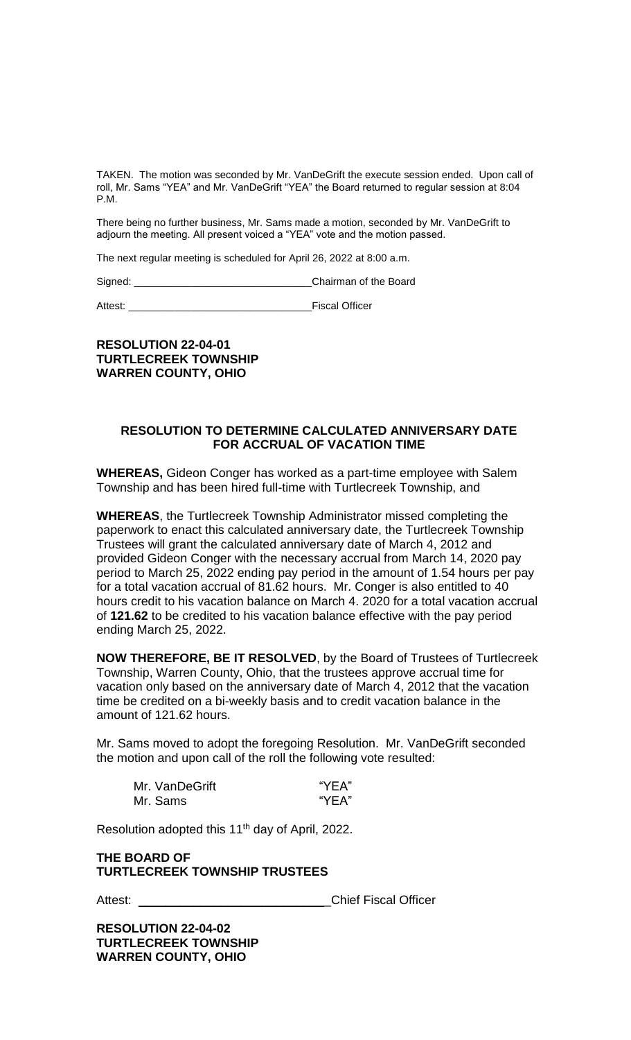TAKEN. The motion was seconded by Mr. VanDeGrift the execute session ended. Upon call of roll, Mr. Sams "YEA" and Mr. VanDeGrift "YEA" the Board returned to regular session at 8:04 P.M.

There being no further business, Mr. Sams made a motion, seconded by Mr. VanDeGrift to adjourn the meeting. All present voiced a "YEA" vote and the motion passed.

The next regular meeting is scheduled for April 26, 2022 at 8:00 a.m.

Signed: \_\_\_\_\_\_\_\_\_\_\_\_\_\_\_\_\_\_\_\_\_\_\_\_\_\_\_\_\_\_\_Chairman of the Board

Attest: **Attest: Attest: Attest: Attest: Attest: Attest: Attest: Attest: Attest: Attes: Attes: Attes: Attes: Attes: Attes: Attes: Attes: Attes: Attes: Attes: Attes: Attes: Attes:** 

# **RESOLUTION 22-04-01 TURTLECREEK TOWNSHIP WARREN COUNTY, OHIO**

### **RESOLUTION TO DETERMINE CALCULATED ANNIVERSARY DATE FOR ACCRUAL OF VACATION TIME**

**WHEREAS,** Gideon Conger has worked as a part-time employee with Salem Township and has been hired full-time with Turtlecreek Township, and

**WHEREAS**, the Turtlecreek Township Administrator missed completing the paperwork to enact this calculated anniversary date, the Turtlecreek Township Trustees will grant the calculated anniversary date of March 4, 2012 and provided Gideon Conger with the necessary accrual from March 14, 2020 pay period to March 25, 2022 ending pay period in the amount of 1.54 hours per pay for a total vacation accrual of 81.62 hours. Mr. Conger is also entitled to 40 hours credit to his vacation balance on March 4. 2020 for a total vacation accrual of **121.62** to be credited to his vacation balance effective with the pay period ending March 25, 2022.

**NOW THEREFORE, BE IT RESOLVED**, by the Board of Trustees of Turtlecreek Township, Warren County, Ohio, that the trustees approve accrual time for vacation only based on the anniversary date of March 4, 2012 that the vacation time be credited on a bi-weekly basis and to credit vacation balance in the amount of 121.62 hours.

Mr. Sams moved to adopt the foregoing Resolution. Mr. VanDeGrift seconded the motion and upon call of the roll the following vote resulted:

| Mr. VanDeGrift | "YEA" |
|----------------|-------|
| Mr. Sams       | "YEA" |

Resolution adopted this 11th day of April, 2022.

# **THE BOARD OF TURTLECREEK TOWNSHIP TRUSTEES**

Attest: **Attest: Attest: Attest: Attest: Attest: Attest: Attest: Attest: Attest: Attest: Attes: Attes: Attes: Attes: Attes: Attes: Attes: Attes: Attes: Attes: Attes: Attes: Attes** 

**RESOLUTION 22-04-02 TURTLECREEK TOWNSHIP WARREN COUNTY, OHIO**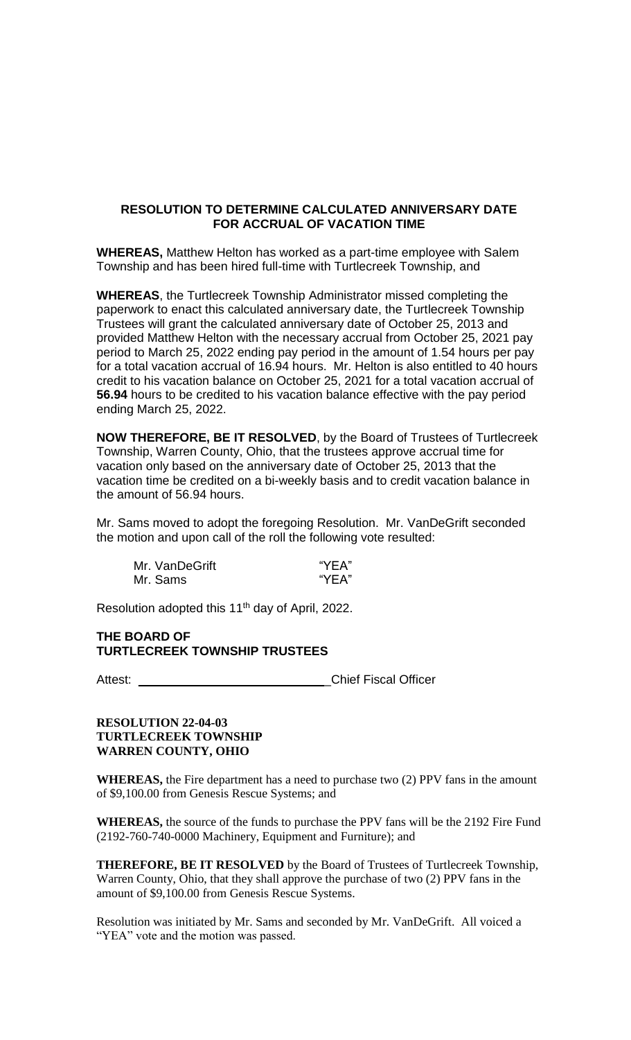# **RESOLUTION TO DETERMINE CALCULATED ANNIVERSARY DATE FOR ACCRUAL OF VACATION TIME**

**WHEREAS,** Matthew Helton has worked as a part-time employee with Salem Township and has been hired full-time with Turtlecreek Township, and

**WHEREAS**, the Turtlecreek Township Administrator missed completing the paperwork to enact this calculated anniversary date, the Turtlecreek Township Trustees will grant the calculated anniversary date of October 25, 2013 and provided Matthew Helton with the necessary accrual from October 25, 2021 pay period to March 25, 2022 ending pay period in the amount of 1.54 hours per pay for a total vacation accrual of 16.94 hours. Mr. Helton is also entitled to 40 hours credit to his vacation balance on October 25, 2021 for a total vacation accrual of **56.94** hours to be credited to his vacation balance effective with the pay period ending March 25, 2022.

**NOW THEREFORE, BE IT RESOLVED**, by the Board of Trustees of Turtlecreek Township, Warren County, Ohio, that the trustees approve accrual time for vacation only based on the anniversary date of October 25, 2013 that the vacation time be credited on a bi-weekly basis and to credit vacation balance in the amount of 56.94 hours.

Mr. Sams moved to adopt the foregoing Resolution. Mr. VanDeGrift seconded the motion and upon call of the roll the following vote resulted:

| Mr. VanDeGrift | "YEA" |
|----------------|-------|
| Mr. Sams       | "YEA" |

Resolution adopted this 11<sup>th</sup> day of April, 2022.

# **THE BOARD OF TURTLECREEK TOWNSHIP TRUSTEES**

Attest: \_\_\_\_\_\_\_\_\_\_\_\_\_\_\_\_\_\_\_\_\_\_\_\_\_\_\_\_\_\_\_\_\_Chief Fiscal Officer

# **RESOLUTION 22-04-03 TURTLECREEK TOWNSHIP WARREN COUNTY, OHIO**

**WHEREAS,** the Fire department has a need to purchase two (2) PPV fans in the amount of \$9,100.00 from Genesis Rescue Systems; and

**WHEREAS,** the source of the funds to purchase the PPV fans will be the 2192 Fire Fund (2192-760-740-0000 Machinery, Equipment and Furniture); and

**THEREFORE, BE IT RESOLVED** by the Board of Trustees of Turtlecreek Township, Warren County, Ohio, that they shall approve the purchase of two (2) PPV fans in the amount of \$9,100.00 from Genesis Rescue Systems.

Resolution was initiated by Mr. Sams and seconded by Mr. VanDeGrift. All voiced a "YEA" vote and the motion was passed.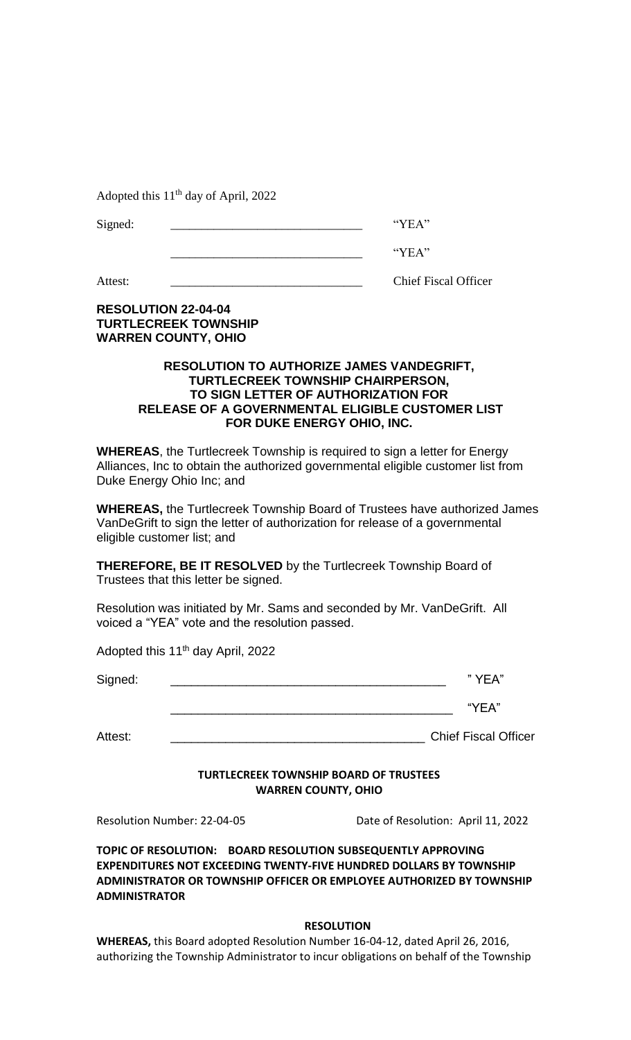Adopted this  $11<sup>th</sup>$  day of April, 2022

| $\sim$<br>∼ |  |
|-------------|--|
|-------------|--|

|--|

Attest: Chief Fiscal Officer

# **RESOLUTION 22-04-04 TURTLECREEK TOWNSHIP WARREN COUNTY, OHIO**

# **RESOLUTION TO AUTHORIZE JAMES VANDEGRIFT, TURTLECREEK TOWNSHIP CHAIRPERSON, TO SIGN LETTER OF AUTHORIZATION FOR RELEASE OF A GOVERNMENTAL ELIGIBLE CUSTOMER LIST FOR DUKE ENERGY OHIO, INC.**

**WHEREAS**, the Turtlecreek Township is required to sign a letter for Energy Alliances, Inc to obtain the authorized governmental eligible customer list from Duke Energy Ohio Inc; and

**WHEREAS,** the Turtlecreek Township Board of Trustees have authorized James VanDeGrift to sign the letter of authorization for release of a governmental eligible customer list; and

**THEREFORE, BE IT RESOLVED** by the Turtlecreek Township Board of Trustees that this letter be signed.

Resolution was initiated by Mr. Sams and seconded by Mr. VanDeGrift. All voiced a "YEA" vote and the resolution passed.

Adopted this 11<sup>th</sup> day April, 2022

| Signed: | " ∨F∆" |
|---------|--------|
|         | "YEA"  |

Attest: \_\_\_\_\_\_\_\_\_\_\_\_\_\_\_\_\_\_\_\_\_\_\_\_\_\_\_\_\_\_\_\_\_\_\_\_\_ Chief Fiscal Officer

# **TURTLECREEK TOWNSHIP BOARD OF TRUSTEES**

**WARREN COUNTY, OHIO**

Resolution Number: 22-04-05 Date of Resolution: April 11, 2022

**TOPIC OF RESOLUTION: BOARD RESOLUTION SUBSEQUENTLY APPROVING EXPENDITURES NOT EXCEEDING TWENTY-FIVE HUNDRED DOLLARS BY TOWNSHIP ADMINISTRATOR OR TOWNSHIP OFFICER OR EMPLOYEE AUTHORIZED BY TOWNSHIP ADMINISTRATOR**

# **RESOLUTION**

**WHEREAS,** this Board adopted Resolution Number 16-04-12, dated April 26, 2016, authorizing the Township Administrator to incur obligations on behalf of the Township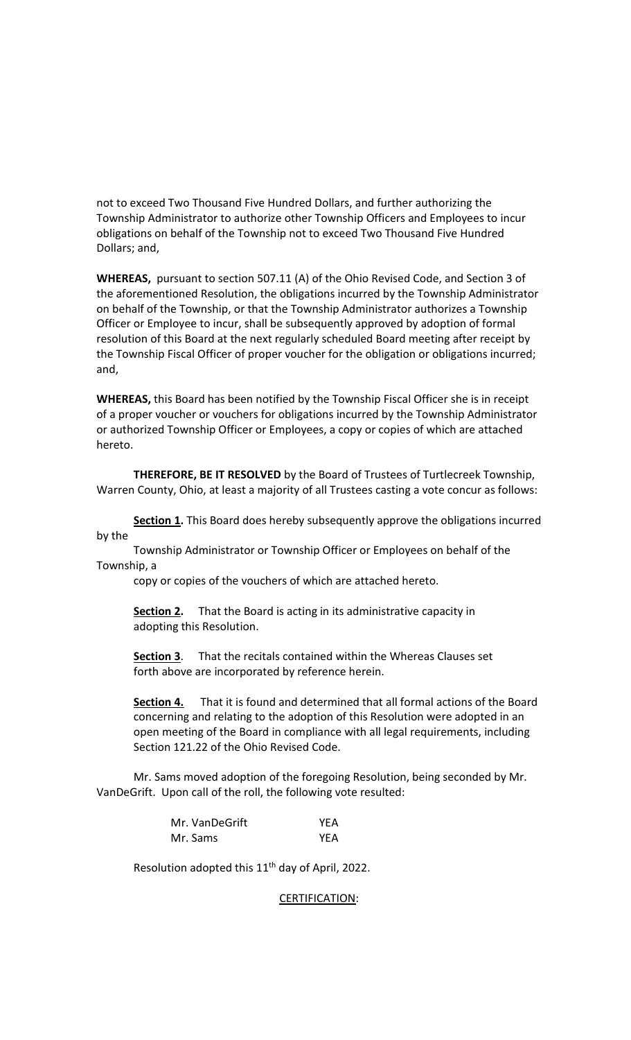not to exceed Two Thousand Five Hundred Dollars, and further authorizing the Township Administrator to authorize other Township Officers and Employees to incur obligations on behalf of the Township not to exceed Two Thousand Five Hundred Dollars; and,

**WHEREAS,** pursuant to section 507.11 (A) of the Ohio Revised Code, and Section 3 of the aforementioned Resolution, the obligations incurred by the Township Administrator on behalf of the Township, or that the Township Administrator authorizes a Township Officer or Employee to incur, shall be subsequently approved by adoption of formal resolution of this Board at the next regularly scheduled Board meeting after receipt by the Township Fiscal Officer of proper voucher for the obligation or obligations incurred; and,

**WHEREAS,** this Board has been notified by the Township Fiscal Officer she is in receipt of a proper voucher or vouchers for obligations incurred by the Township Administrator or authorized Township Officer or Employees, a copy or copies of which are attached hereto.

**THEREFORE, BE IT RESOLVED** by the Board of Trustees of Turtlecreek Township, Warren County, Ohio, at least a majority of all Trustees casting a vote concur as follows:

**Section 1.** This Board does hereby subsequently approve the obligations incurred by the

Township Administrator or Township Officer or Employees on behalf of the Township, a

copy or copies of the vouchers of which are attached hereto.

**Section 2.** That the Board is acting in its administrative capacity in adopting this Resolution.

**Section 3**. That the recitals contained within the Whereas Clauses set forth above are incorporated by reference herein.

**Section 4.** That it is found and determined that all formal actions of the Board concerning and relating to the adoption of this Resolution were adopted in an open meeting of the Board in compliance with all legal requirements, including Section 121.22 of the Ohio Revised Code.

Mr. Sams moved adoption of the foregoing Resolution, being seconded by Mr. VanDeGrift. Upon call of the roll, the following vote resulted:

| Mr. VanDeGrift | <b>YEA</b> |
|----------------|------------|
| Mr. Sams       | YEA        |

Resolution adopted this 11<sup>th</sup> day of April, 2022.

CERTIFICATION: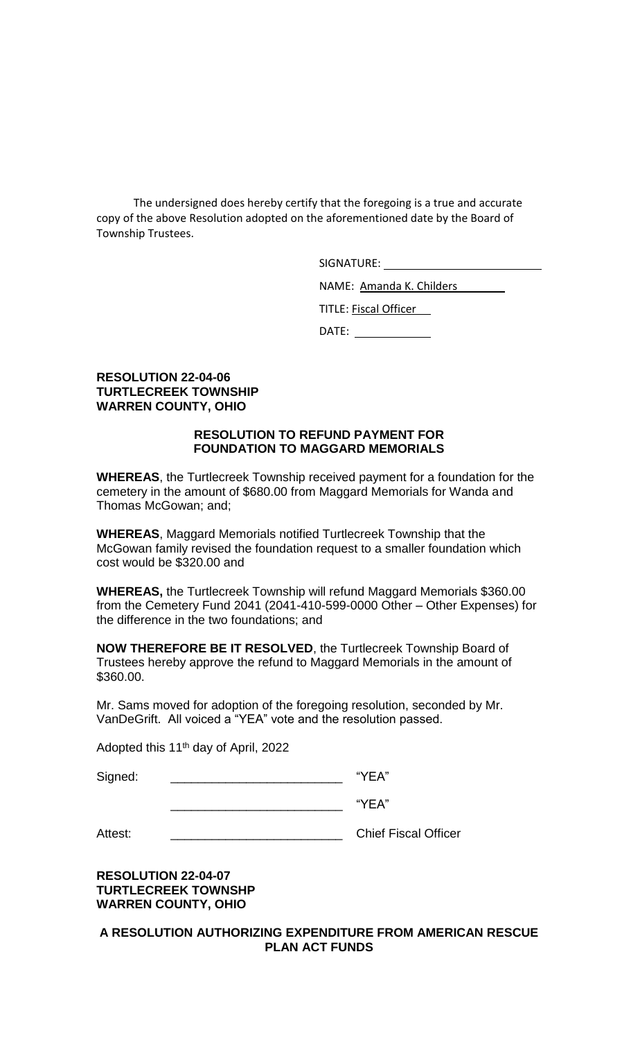The undersigned does hereby certify that the foregoing is a true and accurate copy of the above Resolution adopted on the aforementioned date by the Board of Township Trustees.

SIGNATURE:

NAME: Amanda K. Childers

TITLE: Fiscal Officer

DATE:

# **RESOLUTION 22-04-06 TURTLECREEK TOWNSHIP WARREN COUNTY, OHIO**

# **RESOLUTION TO REFUND PAYMENT FOR FOUNDATION TO MAGGARD MEMORIALS**

**WHEREAS**, the Turtlecreek Township received payment for a foundation for the cemetery in the amount of \$680.00 from Maggard Memorials for Wanda and Thomas McGowan; and;

**WHEREAS**, Maggard Memorials notified Turtlecreek Township that the McGowan family revised the foundation request to a smaller foundation which cost would be \$320.00 and

**WHEREAS,** the Turtlecreek Township will refund Maggard Memorials \$360.00 from the Cemetery Fund 2041 (2041-410-599-0000 Other – Other Expenses) for the difference in the two foundations; and

**NOW THEREFORE BE IT RESOLVED**, the Turtlecreek Township Board of Trustees hereby approve the refund to Maggard Memorials in the amount of \$360.00.

Mr. Sams moved for adoption of the foregoing resolution, seconded by Mr. VanDeGrift. All voiced a "YEA" vote and the resolution passed.

Adopted this 11<sup>th</sup> day of April, 2022

Signed: \_\_\_\_\_\_\_\_\_\_\_\_\_\_\_\_\_\_\_\_\_\_\_\_\_\_\_\_\_\_\_\_\_ "YEA"

 $\overline{\phantom{a}}$  "YEA"

Attest: \_\_\_\_\_\_\_\_\_\_\_\_\_\_\_\_\_\_\_\_\_\_\_\_\_ Chief Fiscal Officer

**RESOLUTION 22-04-07 TURTLECREEK TOWNSHP WARREN COUNTY, OHIO**

**A RESOLUTION AUTHORIZING EXPENDITURE FROM AMERICAN RESCUE PLAN ACT FUNDS**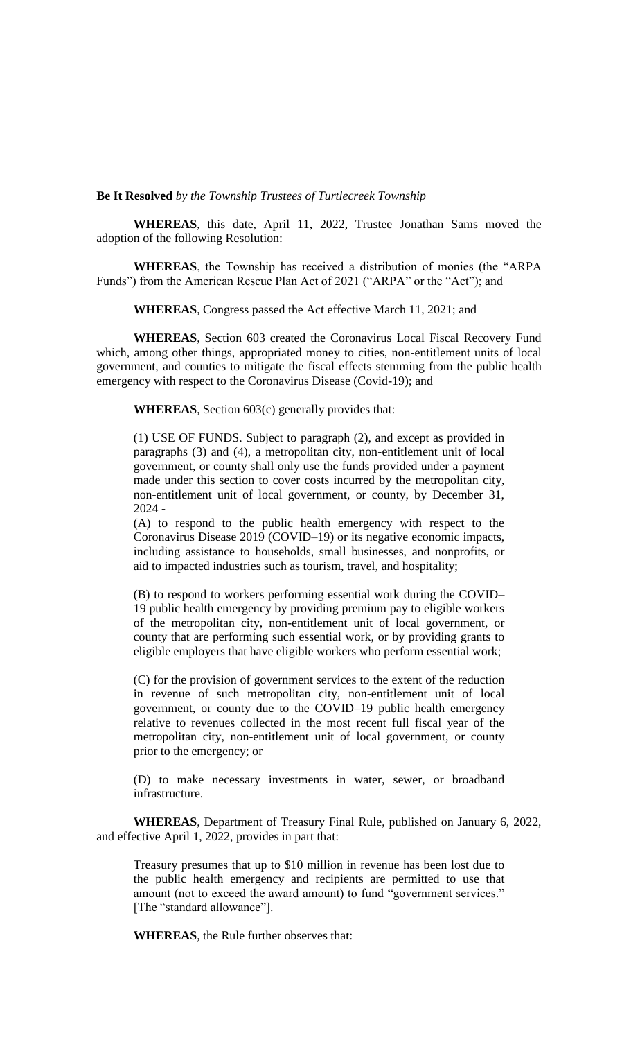**Be It Resolved** *by the Township Trustees of Turtlecreek Township*

**WHEREAS**, this date, April 11, 2022, Trustee Jonathan Sams moved the adoption of the following Resolution:

**WHEREAS**, the Township has received a distribution of monies (the "ARPA Funds") from the American Rescue Plan Act of 2021 ("ARPA" or the "Act"); and

**WHEREAS**, Congress passed the Act effective March 11, 2021; and

**WHEREAS**, Section 603 created the Coronavirus Local Fiscal Recovery Fund which, among other things, appropriated money to cities, non-entitlement units of local government, and counties to mitigate the fiscal effects stemming from the public health emergency with respect to the Coronavirus Disease (Covid-19); and

**WHEREAS**, Section 603(c) generally provides that:

(1) USE OF FUNDS. Subject to paragraph (2), and except as provided in paragraphs (3) and (4), a metropolitan city, non-entitlement unit of local government, or county shall only use the funds provided under a payment made under this section to cover costs incurred by the metropolitan city, non-entitlement unit of local government, or county, by December 31, 2024 -

(A) to respond to the public health emergency with respect to the Coronavirus Disease 2019 (COVID–19) or its negative economic impacts, including assistance to households, small businesses, and nonprofits, or aid to impacted industries such as tourism, travel, and hospitality;

(B) to respond to workers performing essential work during the COVID– 19 public health emergency by providing premium pay to eligible workers of the metropolitan city, non-entitlement unit of local government, or county that are performing such essential work, or by providing grants to eligible employers that have eligible workers who perform essential work;

(C) for the provision of government services to the extent of the reduction in revenue of such metropolitan city, non-entitlement unit of local government, or county due to the COVID–19 public health emergency relative to revenues collected in the most recent full fiscal year of the metropolitan city, non-entitlement unit of local government, or county prior to the emergency; or

(D) to make necessary investments in water, sewer, or broadband infrastructure.

**WHEREAS**, Department of Treasury Final Rule, published on January 6, 2022, and effective April 1, 2022, provides in part that:

Treasury presumes that up to \$10 million in revenue has been lost due to the public health emergency and recipients are permitted to use that amount (not to exceed the award amount) to fund "government services." [The "standard allowance"].

**WHEREAS**, the Rule further observes that: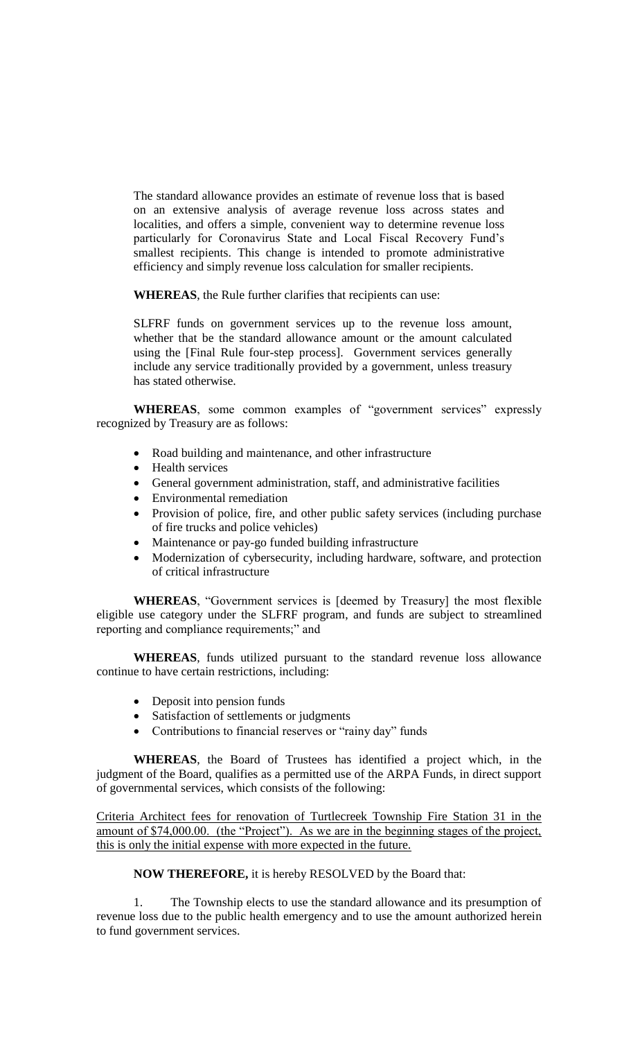The standard allowance provides an estimate of revenue loss that is based on an extensive analysis of average revenue loss across states and localities, and offers a simple, convenient way to determine revenue loss particularly for Coronavirus State and Local Fiscal Recovery Fund's smallest recipients. This change is intended to promote administrative efficiency and simply revenue loss calculation for smaller recipients.

**WHEREAS**, the Rule further clarifies that recipients can use:

SLFRF funds on government services up to the revenue loss amount, whether that be the standard allowance amount or the amount calculated using the [Final Rule four-step process]. Government services generally include any service traditionally provided by a government, unless treasury has stated otherwise.

**WHEREAS**, some common examples of "government services" expressly recognized by Treasury are as follows:

- Road building and maintenance, and other infrastructure
- Health services
- General government administration, staff, and administrative facilities
- Environmental remediation
- Provision of police, fire, and other public safety services (including purchase of fire trucks and police vehicles)
- Maintenance or pay-go funded building infrastructure
- Modernization of cybersecurity, including hardware, software, and protection of critical infrastructure

**WHEREAS**, "Government services is [deemed by Treasury] the most flexible eligible use category under the SLFRF program, and funds are subject to streamlined reporting and compliance requirements;" and

**WHEREAS**, funds utilized pursuant to the standard revenue loss allowance continue to have certain restrictions, including:

- Deposit into pension funds
- Satisfaction of settlements or judgments
- Contributions to financial reserves or "rainy day" funds

**WHEREAS**, the Board of Trustees has identified a project which, in the judgment of the Board, qualifies as a permitted use of the ARPA Funds, in direct support of governmental services, which consists of the following:

Criteria Architect fees for renovation of Turtlecreek Township Fire Station 31 in the amount of \$74,000.00. (the "Project"). As we are in the beginning stages of the project, this is only the initial expense with more expected in the future.

#### **NOW THEREFORE,** it is hereby RESOLVED by the Board that:

1. The Township elects to use the standard allowance and its presumption of revenue loss due to the public health emergency and to use the amount authorized herein to fund government services.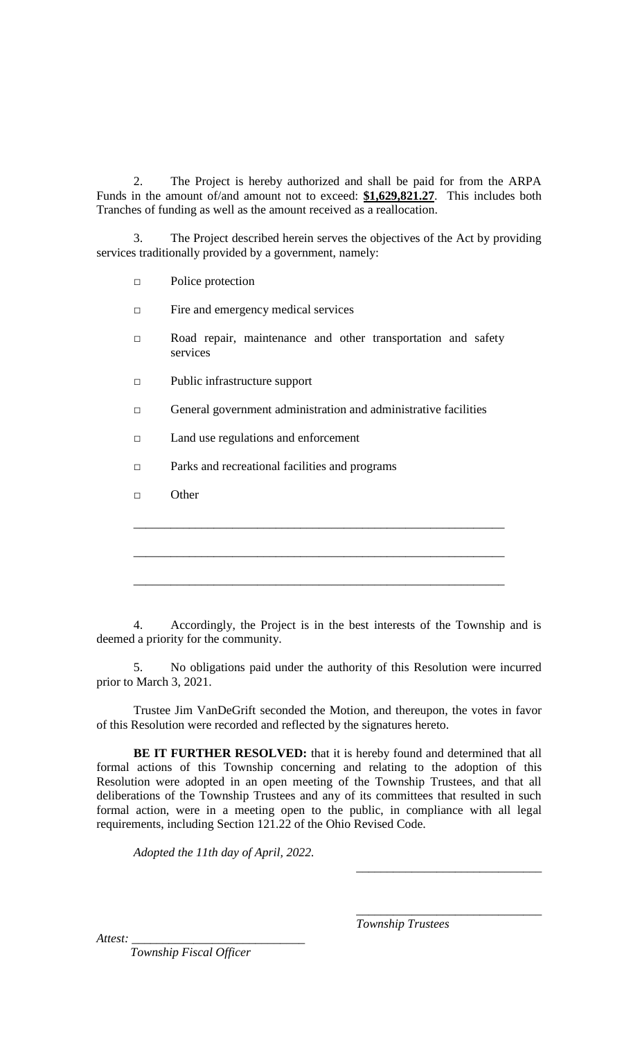2. The Project is hereby authorized and shall be paid for from the ARPA Funds in the amount of/and amount not to exceed: **\$1,629,821.27**. This includes both Tranches of funding as well as the amount received as a reallocation.

3. The Project described herein serves the objectives of the Act by providing services traditionally provided by a government, namely:

□ Police protection

□ Fire and emergency medical services

- □ Road repair, maintenance and other transportation and safety services
- □ Public infrastructure support
- □ General government administration and administrative facilities

□ Land use regulations and enforcement

□ Parks and recreational facilities and programs

□ Other

4. Accordingly, the Project is in the best interests of the Township and is deemed a priority for the community.

5. No obligations paid under the authority of this Resolution were incurred prior to March 3, 2021.

Trustee Jim VanDeGrift seconded the Motion, and thereupon, the votes in favor of this Resolution were recorded and reflected by the signatures hereto.

BE IT FURTHER RESOLVED: that it is hereby found and determined that all formal actions of this Township concerning and relating to the adoption of this Resolution were adopted in an open meeting of the Township Trustees, and that all deliberations of the Township Trustees and any of its committees that resulted in such formal action, were in a meeting open to the public, in compliance with all legal requirements, including Section 121.22 of the Ohio Revised Code.

*Adopted the 11th day of April, 2022.*

*Township Trustees*

*\_\_\_\_\_\_\_\_\_\_\_\_\_\_\_\_\_\_\_\_\_\_\_\_\_\_\_\_\_\_*

*\_\_\_\_\_\_\_\_\_\_\_\_\_\_\_\_\_\_\_\_\_\_\_\_\_\_\_\_\_\_*

Attest:

 *Township Fiscal Officer*